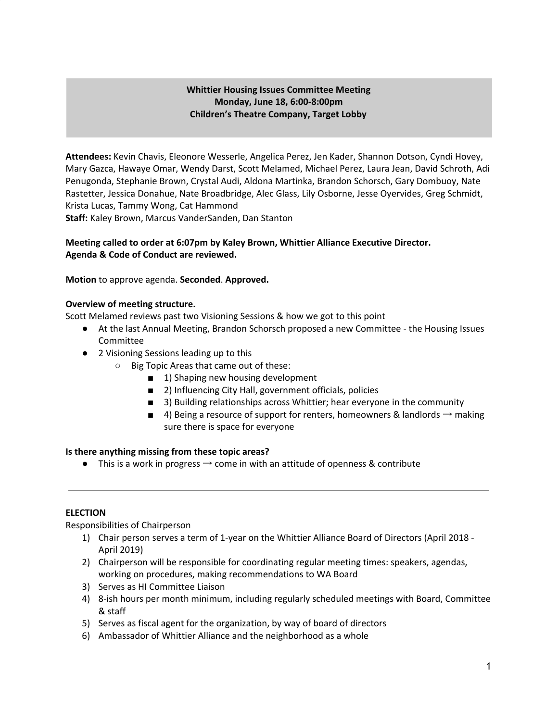## **Whittier Housing Issues Committee Meeting Monday, June 18, 6:00-8:00pm Children's Theatre Company, Target Lobby**

**Attendees:** Kevin Chavis, Eleonore Wesserle, Angelica Perez, Jen Kader, Shannon Dotson, Cyndi Hovey, Mary Gazca, Hawaye Omar, Wendy Darst, Scott Melamed, Michael Perez, Laura Jean, David Schroth, Adi Penugonda, Stephanie Brown, Crystal Audi, Aldona Martinka, Brandon Schorsch, Gary Dombuoy, Nate Rastetter, Jessica Donahue, Nate Broadbridge, Alec Glass, Lily Osborne, Jesse Oyervides, Greg Schmidt, Krista Lucas, Tammy Wong, Cat Hammond **Staff:** Kaley Brown, Marcus VanderSanden, Dan Stanton

## **Meeting called to order at 6:07pm by Kaley Brown, Whittier Alliance Executive Director. Agenda & Code of Conduct are reviewed.**

**Motion** to approve agenda. **Seconded**. **Approved.**

### **Overview of meeting structure.**

Scott Melamed reviews past two Visioning Sessions & how we got to this point

- At the last Annual Meeting, Brandon Schorsch proposed a new Committee the Housing Issues Committee
- 2 Visioning Sessions leading up to this
	- Big Topic Areas that came out of these:
		- 1) Shaping new housing development
		- 2) Influencing City Hall, government officials, policies
		- 3) Building relationships across Whittier; hear everyone in the community
		- 4) Being a resource of support for renters, homeowners & landlords  $\rightarrow$  making sure there is space for everyone

### **Is there anything missing from these topic areas?**

**•** This is a work in progress  $\rightarrow$  come in with an attitude of openness & contribute

### **ELECTION**

Responsibilities of Chairperson

- 1) Chair person serves a term of 1-year on the Whittier Alliance Board of Directors (April 2018 April 2019)
- 2) Chairperson will be responsible for coordinating regular meeting times: speakers, agendas, working on procedures, making recommendations to WA Board
- 3) Serves as HI Committee Liaison
- 4) 8-ish hours per month minimum, including regularly scheduled meetings with Board, Committee & staff
- 5) Serves as fiscal agent for the organization, by way of board of directors
- 6) Ambassador of Whittier Alliance and the neighborhood as a whole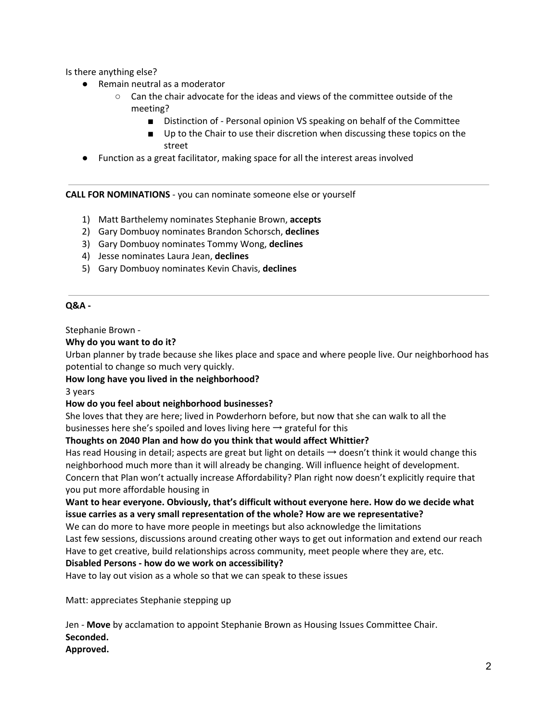Is there anything else?

- Remain neutral as a moderator
	- $\circ$  Can the chair advocate for the ideas and views of the committee outside of the meeting?
		- Distinction of Personal opinion VS speaking on behalf of the Committee
		- Up to the Chair to use their discretion when discussing these topics on the street
- Function as a great facilitator, making space for all the interest areas involved

**CALL FOR NOMINATIONS** - you can nominate someone else or yourself

- 1) Matt Barthelemy nominates Stephanie Brown, **accepts**
- 2) Gary Dombuoy nominates Brandon Schorsch, **declines**
- 3) Gary Dombuoy nominates Tommy Wong, **declines**
- 4) Jesse nominates Laura Jean, **declines**
- 5) Gary Dombuoy nominates Kevin Chavis, **declines**

## **Q&A -**

Stephanie Brown -

### **Why do you want to do it?**

Urban planner by trade because she likes place and space and where people live. Our neighborhood has potential to change so much very quickly.

**How long have you lived in the neighborhood?**

3 years

### **How do you feel about neighborhood businesses?**

She loves that they are here; lived in Powderhorn before, but now that she can walk to all the businesses here she's spoiled and loves living here  $\rightarrow$  grateful for this

### **Thoughts on 2040 Plan and how do you think that would affect Whittier?**

Has read Housing in detail; aspects are great but light on details  $\rightarrow$  doesn't think it would change this neighborhood much more than it will already be changing. Will influence height of development. Concern that Plan won't actually increase Affordability? Plan right now doesn't explicitly require that you put more affordable housing in

# **Want to hear everyone. Obviously, that's difficult without everyone here. How do we decide what issue carries as a very small representation of the whole? How are we representative?**

We can do more to have more people in meetings but also acknowledge the limitations Last few sessions, discussions around creating other ways to get out information and extend our reach

Have to get creative, build relationships across community, meet people where they are, etc.

# **Disabled Persons - how do we work on accessibility?**

Have to lay out vision as a whole so that we can speak to these issues

Matt: appreciates Stephanie stepping up

Jen - **Move** by acclamation to appoint Stephanie Brown as Housing Issues Committee Chair. **Seconded.**

# **Approved.**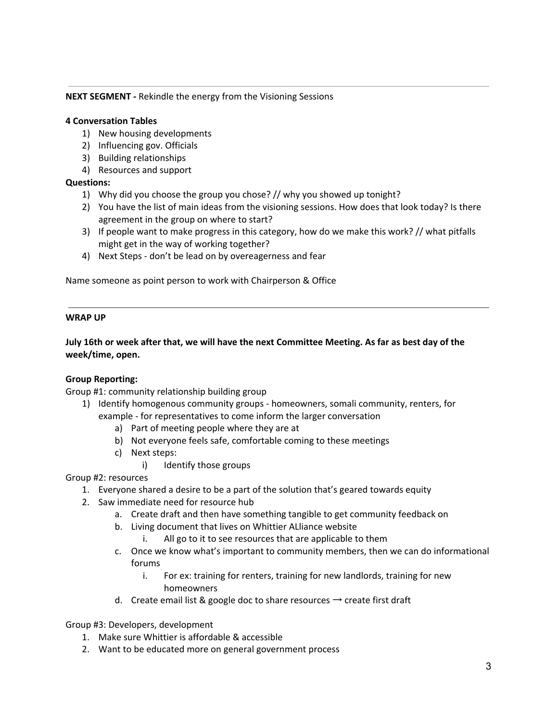### **NEXT SEGMENT -** Rekindle the energy from the Visioning Sessions

#### **4 Conversation Tables**

- 1) New housing developments
- 2) Influencing gov. Officials
- 3) Building relationships
- 4) Resources and support

### **Questions:**

- 1) Why did you choose the group you chose? // why you showed up tonight?
- 2) You have the list of main ideas from the visioning sessions. How does that look today? Is there agreement in the group on where to start?
- 3) If people want to make progress in this category, how do we make this work? // what pitfalls might get in the way of working together?
- 4) Next Steps don't be lead on by overeagerness and fear

Name someone as point person to work with Chairperson & Office

#### **WRAP UP**

July 16th or week after that, we will have the next Committee Meeting. As far as best day of the **week/time, open.**

### **Group Reporting:**

Group #1: community relationship building group

- 1) Identify homogenous community groups homeowners, somali community, renters, for example - for representatives to come inform the larger conversation
	- a) Part of meeting people where they are at
	- b) Not everyone feels safe, comfortable coming to these meetings
	- c) Next steps:
		- i) Identify those groups

Group #2: resources

- 1. Everyone shared a desire to be a part of the solution that's geared towards equity
- 2. Saw immediate need for resource hub
	- a. Create draft and then have something tangible to get community feedback on
	- b. Living document that lives on Whittier ALliance website
		- i. All go to it to see resources that are applicable to them
	- c. Once we know what's important to community members, then we can do informational forums
		- i. For ex: training for renters, training for new landlords, training for new homeowners
	- d. Create email list & google doc to share resources  $\rightarrow$  create first draft

Group #3: Developers, development

- 1. Make sure Whittier is affordable & accessible
- 2. Want to be educated more on general government process